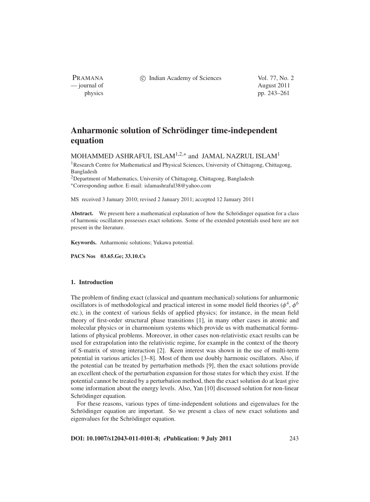PRAMANA — journal of August 2011

c Indian Academy of Sciences Vol. 77, No. 2

physics pp. 243–261

# **Anharmonic solution of Schrödinger time-independent equation**

MOHAMMED ASHRAFUL ISLAM<sup>1,2,\*</sup> and JAMAL NAZRUL ISLAM<sup>1</sup>

<sup>1</sup>Research Centre for Mathematical and Physical Sciences, University of Chittagong, Chittagong, Bangladesh

<sup>2</sup>Department of Mathematics, University of Chittagong, Chittagong, Bangladesh <sup>∗</sup>Corresponding author. E-mail: islamashraful38@yahoo.com

MS received 3 January 2010; revised 2 January 2011; accepted 12 January 2011

**Abstract.** We present here a mathematical explanation of how the Schrödinger equation for a class of harmonic oscillators possesses exact solutions. Some of the extended potentials used here are not present in the literature.

**Keywords.** Anharmonic solutions; Yukawa potential.

**PACS Nos 03.65.Ge; 33.10.Cs**

# **1. Introduction**

The problem of finding exact (classical and quantum mechanical) solutions for anharmonic oscillators is of methodological and practical interest in some model field theories ( $\phi^4$ ,  $\phi^6$ ) etc.), in the context of various fields of applied physics; for instance, in the mean field theory of first-order structural phase transitions [1], in many other cases in atomic and molecular physics or in charmonium systems which provide us with mathematical formulations of physical problems. Moreover, in other cases non-relativistic exact results can be used for extrapolation into the relativistic regime, for example in the context of the theory of S-matrix of strong interaction [2]. Keen interest was shown in the use of multi-term potential in various articles [3–8]. Most of them use doubly harmonic oscillators. Also, if the potential can be treated by perturbation methods [9], then the exact solutions provide an excellent check of the perturbation expansion for those states for which they exist. If the potential cannot be treated by a perturbation method, then the exact solution do at least give some information about the energy levels. Also, Yan [10] discussed solution for non-linear Schrödinger equation.

For these reasons, various types of time-independent solutions and eigenvalues for the Schrödinger equation are important. So we present a class of new exact solutions and eigenvalues for the Schrödinger equation.

**DOI: 10.1007/s12043-011-0101-8;** *e***Publication: 9 July 2011** 243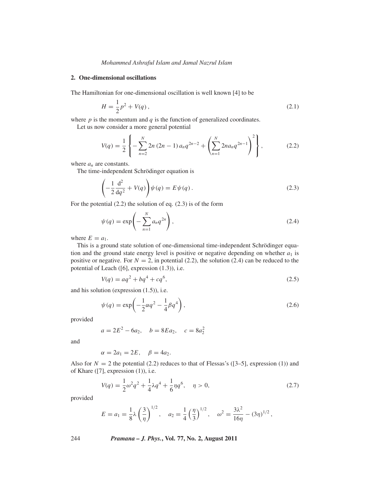#### **2. One-dimensional oscillations**

The Hamiltonian for one-dimensional oscillation is well known [4] to be

$$
H = \frac{1}{2}p^2 + V(q),
$$
\n(2.1)

where  $p$  is the momentum and  $q$  is the function of generalized coordinates.

Let us now consider a more general potential

$$
V(q) = \frac{1}{2} \left\{ -\sum_{n=2}^{N} 2n (2n-1) a_n q^{2n-2} + \left( \sum_{n=1}^{N} 2n a_n q^{2n-1} \right)^2 \right\},
$$
 (2.2)

where *an* are constants.

The time-independent Schrödinger equation is

$$
\left(-\frac{1}{2}\frac{\mathrm{d}^2}{\mathrm{d}q^2} + V(q)\right)\psi(q) = E\psi(q). \tag{2.3}
$$

For the potential (2.2) the solution of eq. (2.3) is of the form

$$
\psi(q) = \exp\left(-\sum_{n=1}^{N} a_n q^{2n}\right),\tag{2.4}
$$

where  $E = a_1$ .

This is a ground state solution of one-dimensional time-independent Schrödinger equation and the ground state energy level is positive or negative depending on whether  $a_1$  is positive or negative. For  $N = 2$ , in potential (2.2), the solution (2.4) can be reduced to the potential of Leach ([6], expression (1.3)), i.e.

$$
V(q) = aq^2 + bq^4 + cq^6,
$$
\n(2.5)

and his solution (expression (1.5)), i.e.

$$
\psi(q) = \exp\left(-\frac{1}{2}\alpha q^2 - \frac{1}{4}\beta q^4\right),\tag{2.6}
$$

provided

$$
a = 2E^2 - 6a_2, \quad b = 8Ea_2, \quad c = 8a_2^2
$$

and

$$
\alpha = 2a_1 = 2E, \quad \beta = 4a_2.
$$

Also for  $N = 2$  the potential (2.2) reduces to that of Flessas's ([3–5], expression (1)) and of Khare ([7], expression (1)), i.e.

$$
V(q) = \frac{1}{2}\omega^2 q^2 + \frac{1}{4}\lambda q^4 + \frac{1}{6}\eta q^6, \quad \eta > 0,
$$
\n(2.7)

provided

$$
E = a_1 = \frac{1}{8}\lambda \left(\frac{3}{\eta}\right)^{1/2}, \quad a_2 = \frac{1}{4} \left(\frac{\eta}{3}\right)^{1/2}, \quad \omega^2 = \frac{3\lambda^2}{16\eta} - (3\eta)^{1/2},
$$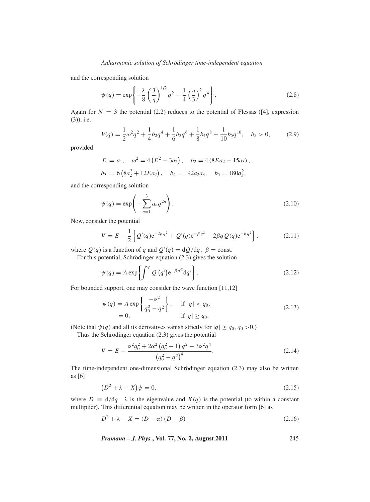and the corresponding solution

$$
\psi(q) = \exp\left\{-\frac{\lambda}{8} \left(\frac{3}{\eta}\right)^{1/2} q^2 - \frac{1}{4} \left(\frac{\eta}{3}\right)^2 q^4\right\}.
$$
\n(2.8)

Again for  $N = 3$  the potential (2.2) reduces to the potential of Flessas ([4], expression (3)), i.e.

$$
V(q) = \frac{1}{2}\omega^2 q^2 + \frac{1}{4}b_2 q^4 + \frac{1}{6}b_3 q^6 + \frac{1}{8}b_4 q^8 + \frac{1}{10}b_5 q^{10}, \quad b_5 > 0,
$$
 (2.9)

provided

$$
E = a_1, \quad \omega^2 = 4(E^2 - 3a_2), \quad b_2 = 4(8Ea_2 - 15a_3),
$$
  

$$
b_3 = 6(8a_2^2 + 12Ea_2), \quad b_4 = 192a_2a_3, \quad b_5 = 180a_3^2,
$$

and the corresponding solution

$$
\psi(q) = \exp\left(-\sum_{n=1}^{3} a_n q^{2n}\right).
$$
\n(2.10)

Now, consider the potential

$$
V = E - \frac{1}{2} \left\{ Q'(q) e^{-2\beta q^2} + Q'(q) e^{-\beta q^2} - 2\beta q Q(q) e^{-\beta q^2} \right\},
$$
 (2.11)

where  $Q(q)$  is a function of *q* and  $Q'(q) = dQ/dq$ ,  $\beta$  = const.

For this potential, Schrödinger equation (2.3) gives the solution

$$
\psi(q) = A \exp\left\{ \int^q Q(q') e^{-\beta q'^2} dq' \right\}.
$$
\n(2.12)

For bounded support, one may consider the wave function [11,12]

$$
\psi(q) = A \exp\left\{\frac{-\alpha^2}{q_0^2 - q^2}\right\}, \quad \text{if } |q| < q_0,
$$
\n
$$
= 0, \quad \text{if } |q| \ge q_0.
$$
\n
$$
(2.13)
$$

(Note that  $\psi(q)$  and all its derivatives vanish strictly for  $|q| \geq q_0, q_0 > 0.$ ) Thus the Schrödinger equation (2.3) gives the potential

$$
V = E - \frac{\alpha^2 q_0^2 + 2\alpha^2 (q_0^2 - 1) q^2 - 3\alpha^2 q^4}{(q_0^2 - q^2)^4}.
$$
 (2.14)

The time-independent one-dimensional Schrödinger equation (2.3) may also be written as [6]

$$
(D2 + \lambda - X)\psi = 0,\t(2.15)
$$

where  $D \equiv d/dq$ .  $\lambda$  is the eigenvalue and  $X(q)$  is the potential (to within a constant multiplier). This differential equation may be written in the operator form [6] as

$$
D2 + \lambda - X = (D - \alpha) (D - \beta)
$$
\n(2.16)

*Pramana – J. Phys.***, Vol. 77, No. 2, August 2011** 245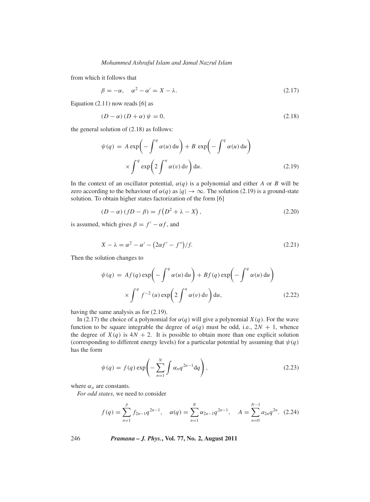from which it follows that

$$
\beta = -\alpha, \quad \alpha^2 - \alpha' = X - \lambda. \tag{2.17}
$$

Equation (2.11) now reads [6] as

$$
(D - \alpha) (D + \alpha) \psi = 0,
$$
\n<sup>(2.18)</sup>

the general solution of (2.18) as follows:

$$
\psi(q) = A \exp\left(-\int^q \alpha(u) \, \mathrm{d}u\right) + B \exp\left(-\int^q \alpha(u) \, \mathrm{d}u\right)
$$

$$
\times \int^q \exp\left(2\int^u \alpha(v) \, \mathrm{d}v\right) \mathrm{d}u. \tag{2.19}
$$

In the context of an oscillator potential,  $\alpha(q)$  is a polynomial and either *A* or *B* will be zero according to the behaviour of  $\alpha(q)$  as  $|q| \to \infty$ . The solution (2.19) is a ground-state solution. To obtain higher states factorization of the form [6]

$$
(D - \alpha) (fD - \beta) = f(D^2 + \lambda - X), \qquad (2.20)
$$

is assumed, which gives  $\beta = f' - \alpha f$ , and

$$
X - \lambda = \alpha^2 - \alpha' - (2\alpha f' - f'') / f.
$$
 (2.21)

Then the solution changes to

$$
\psi(q) = Af(q) \exp\left(-\int^q \alpha(u) du\right) + Bf(q) \exp\left(-\int^q \alpha(u) du\right)
$$

$$
\times \int^q f^{-2}(u) \exp\left(2\int^u \alpha(v) dv\right) du, \tag{2.22}
$$

having the same analysis as for (2.19).

In (2.17) the choice of a polynomial for  $\alpha(q)$  will give a polynomial *X*(*q*). For the wave function to be square integrable the degree of  $\alpha(q)$  must be odd, i.e.,  $2N + 1$ , whence the degree of  $X(q)$  is  $4N + 2$ . It is possible to obtain more than one explicit solution (corresponding to different energy levels) for a particular potential by assuming that  $\psi(q)$ has the form

$$
\psi(q) = f(q) \exp\left(-\sum_{n=1}^{N} \int \alpha_n q^{2n-1} dq\right),\tag{2.23}
$$

where  $\alpha_n$  are constants.

*For odd states*, we need to consider

$$
f(q) = \sum_{n=1}^{p} f_{2n-1} q^{2n-1}, \quad \alpha(q) = \sum_{n=1}^{N} \alpha_{2n-1} q^{2n-1}, \quad A = \sum_{n=0}^{N-1} a_{2n} q^{2n}. \tag{2.24}
$$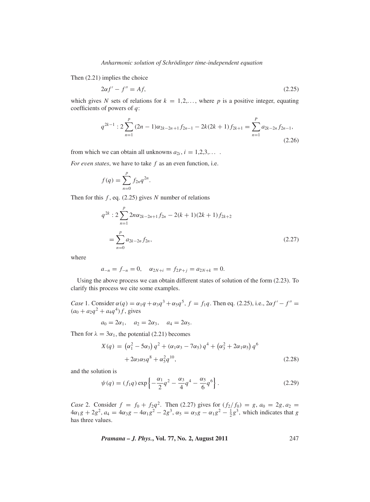Then (2.21) implies the choice

$$
2\alpha f' - f'' = Af,\tag{2.25}
$$

which gives *N* sets of relations for  $k = 1, 2, \ldots$ , where *p* is a positive integer, equating coefficients of powers of *q*:

$$
q^{2k-1}: 2\sum_{n=1}^{p} (2n-1)\alpha_{2k-2n+1}f_{2n-1} - 2k(2k+1)f_{2k+1} = \sum_{n=1}^{p} a_{2k-2n}f_{2n-1},
$$
\n(2.26)

from which we can obtain all unknowns  $a_{2i}$ ,  $i = 1,2,3,...$ .

*For e*v*en states*, we have to take *f* as an even function, i.e.

$$
f(q) = \sum_{n=0}^p f_{2n} q^{2n}.
$$

Then for this *f* , eq. (2.25) gives *N* number of relations

$$
q^{2k}: 2\sum_{n=1}^{p} 2n\alpha_{2k-2n+1}f_{2n} - 2(k+1)(2k+1)f_{2k+2}
$$
  
= 
$$
\sum_{n=0}^{p} a_{2k-2n}f_{2n},
$$
 (2.27)

where

$$
a_{-n} = f_{-n} = 0, \quad \alpha_{2N+i} = f_{2P+j} = a_{2N+k} = 0.
$$

Using the above process we can obtain different states of solution of the form (2.23). To clarify this process we cite some examples.

*Case* 1. Consider  $\alpha(q) = \alpha_1 q + \alpha_3 q^3 + \alpha_5 q^5$ ,  $f = f_1 q$ . Then eq. (2.25), i.e.,  $2\alpha f' - f'' =$  $(a_0 + a_2q^2 + a_4q^4)$  *f*, gives

$$
a_0 = 2\alpha_1
$$
,  $a_2 = 2\alpha_3$ ,  $a_4 = 2\alpha_5$ .

Then for  $\lambda = 3\alpha_1$ , the potential (2.21) becomes

$$
X(q) = (\alpha_1^2 - 5\alpha_3) q^2 + (\alpha_1 \alpha_3 - 7\alpha_5) q^4 + (\alpha_3^2 + 2\alpha_1 \alpha_5) q^6
$$
  
+ 2\alpha\_3 \alpha\_5 q^8 + \alpha\_5^2 q^{10}, \t(2.28)

and the solution is

$$
\psi(q) = (f_1 q) \exp\left\{-\frac{\alpha_1}{2}q^2 - \frac{\alpha_3}{4}q^4 - \frac{\alpha_5}{6}q^6\right\}.
$$
 (2.29)

*Case* 2. Consider  $f = f_0 + f_2 q^2$ . Then (2.27) gives for  $(f_2/f_0) = g$ ,  $a_0 = 2g$ ,  $a_2 =$  $4\alpha_1 g + 2g^2$ ,  $a_4 = 4\alpha_3 g - 4\alpha_1 g^2 - 2g^3$ ,  $\alpha_5 = \alpha_3 g - \alpha_1 g^2 - \frac{1}{2}g^3$ , which indicates that *g* has three values.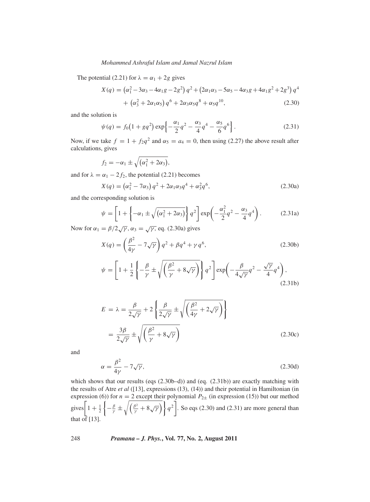The potential (2.21) for  $\lambda = \alpha_1 + 2g$  gives

$$
X(q) = (\alpha_1^2 - 3\alpha_3 - 4\alpha_1 g - 2g^2) q^2 + (2\alpha_1 \alpha_3 - 5\alpha_5 - 4\alpha_3 g + 4\alpha_1 g^2 + 2g^3) q^4
$$
  
+ (\alpha\_3^2 + 2\alpha\_1 \alpha\_5) q^6 + 2\alpha\_3 \alpha\_5 q^8 + \alpha\_5 q^{10}, (2.30)

and the solution is

$$
\psi(q) = f_0 \left( 1 + g q^2 \right) \exp \left\{ -\frac{\alpha_1}{2} q^2 - \frac{\alpha_3}{4} q^4 - \frac{\alpha_5}{6} q^6 \right\}.
$$
 (2.31)

Now, if we take  $f = 1 + f_2 q^2$  and  $\alpha_5 = a_4 = 0$ , then using (2.27) the above result after calculations, gives

$$
f_2=-\alpha_1\pm\sqrt{(\alpha_1^2+2\alpha_3)},
$$

and for  $\lambda = \alpha_1 - 2f_2$ , the potential (2.21) becomes

$$
X(q) = (\alpha_1^2 - 7\alpha_3) q^2 + 2\alpha_1 \alpha_3 q^4 + \alpha_3^2 q^6,
$$
 (2.30a)

and the corresponding solution is

$$
\psi = \left[1 + \left\{-\alpha_1 \pm \sqrt{(\alpha_1^2 + 2\alpha_3)}\right\} q^2\right] \exp\left(-\frac{\alpha_1^2}{2} q^2 - \frac{\alpha_3}{4} q^4\right). \tag{2.31a}
$$

Now for  $\alpha_1 = \beta/2\sqrt{\gamma}$ ,  $\alpha_3 = \sqrt{\gamma}$ , eq. (2.30a) gives

$$
X(q) = \left(\frac{\beta^2}{4\gamma} - 7\sqrt{\gamma}\right)q^2 + \beta q^4 + \gamma q^6,
$$
 (2.30b)

$$
\psi = \left[1 + \frac{1}{2}\left\{-\frac{\beta}{\gamma} \pm \sqrt{\left(\frac{\beta^2}{\gamma} + 8\sqrt{\gamma}\right)}\right\} q^2\right] \exp\left(-\frac{\beta}{4\sqrt{\gamma}}q^2 - \frac{\sqrt{\gamma}}{4}q^4\right),\tag{2.31b}
$$

$$
E = \lambda = \frac{\beta}{2\sqrt{\gamma}} + 2\left\{\frac{\beta}{2\sqrt{\gamma}} \pm \sqrt{\left(\frac{\beta^2}{4\gamma} + 2\sqrt{\gamma}\right)}\right\}
$$

$$
= \frac{3\beta}{2\sqrt{\gamma}} \pm \sqrt{\left(\frac{\beta^2}{\gamma} + 8\sqrt{\gamma}\right)}
$$
(2.30c)

and

$$
\alpha = \frac{\beta^2}{4\gamma} - 7\sqrt{\gamma},\tag{2.30d}
$$

which shows that our results (eqs  $(2.30b-d)$ ) and (eq.  $(2.31b)$ ) are exactly matching with the results of Atre *et al* ([13], expressions (13), (14)) and their potential in Hamiltonian (in expression (6)) for  $n = 2$  except their polynomial  $P_{2\pm}$  (in expression (15)) but our method gives  $\left[1 + \frac{1}{2}\right]$  $\left\{-\frac{\beta}{\gamma}\pm\sqrt{\left(\frac{\beta^2}{\gamma}+8\sqrt{\gamma}\right)}\right\}q^2\right\}$ . So eqs (2.30) and (2.31) are more general than that of  $[13]$ .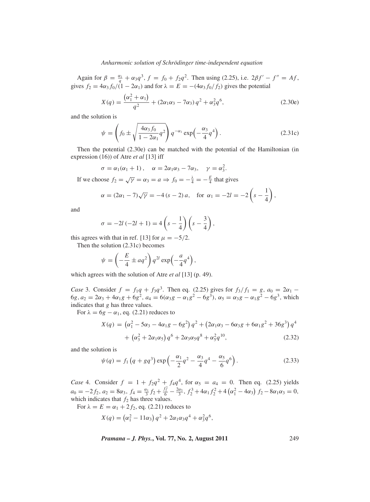Again for  $\beta = \frac{\alpha_1}{q} + \alpha_3 q^3$ ,  $f = f_0 + f_2 q^2$ . Then using (2.25), i.e.  $2\beta f' - f'' = Af$ , gives  $f_2 = 4\alpha_3 f_0/(1 - 2\alpha_1)$  and for  $\lambda = E = -(4\alpha_3 f_0/f_2)$  gives the potential

$$
X(q) = \frac{(\alpha_1^2 + \alpha_1)}{q^2} + (2\alpha_1\alpha_3 - 7\alpha_3)q^2 + \alpha_3^2 q^6,
$$
 (2.30e)

and the solution is

$$
\psi = \left(f_0 \pm \sqrt{\frac{4\alpha_3 f_0}{1 - 2\alpha_1} q^2}\right) q^{-\alpha_1} \exp\left(-\frac{\alpha_3}{4} q^4\right). \tag{2.31c}
$$

Then the potential (2.30e) can be matched with the potential of the Hamiltonian (in expression (16)) of Atre *et al* [13] iff

$$
\sigma = \alpha_1(\alpha_1 + 1), \quad \alpha = 2\alpha_1\alpha_3 - 7\alpha_3, \quad \gamma = \alpha_3^2.
$$

If we choose  $f_2 = \sqrt{\gamma} = \alpha_3 = a \Rightarrow f_0 = -\frac{\lambda}{4} = -\frac{E}{4}$  that gives

$$
\alpha = (2\alpha_1 - 7)\sqrt{\gamma} = -4 (s - 2) a
$$
, for  $\alpha_1 = -2l = -2\left(s - \frac{1}{4}\right)$ ,

and

$$
\sigma = -2l(-2l + 1) = 4\left(s - \frac{1}{4}\right)\left(s - \frac{3}{4}\right),
$$

this agrees with that in ref. [13] for  $\mu = -5/2$ .

Then the solution (2.31c) becomes

$$
\psi = \left(-\frac{E}{4} \pm aq^2\right) q^{2l} \exp\left(-\frac{a}{4}q^4\right),\,
$$

which agrees with the solution of Atre *et al* [13] (p. 49).

*Case* 3. Consider  $f = f_1q + f_3q^3$ . Then eq. (2.25) gives for  $f_3/f_1 = g$ ,  $a_0 = 2a_1 -$ 6*g*,  $a_2 = 2a_3 + 4a_1g + 6g^2$ ,  $a_4 = 6(a_3g - a_1g^2 - 6g^3)$ ,  $a_5 = a_3g - a_1g^2 - 6g^3$ , which indicates that *g* has three values.

For  $\lambda = 6g - \alpha_1$ , eq. (2.21) reduces to

$$
X(q) = (\alpha_1^2 - 5\alpha_3 - 4\alpha_1 g - 6g^2) q^2 + (2\alpha_1 \alpha_3 - 6\alpha_3 g + 6\alpha_1 g^2 + 36g^3) q^4
$$
  
+ (\alpha\_3^2 + 2\alpha\_1 \alpha\_5) q^6 + 2\alpha\_3 \alpha\_5 q^8 + \alpha\_5^2 q^{10}, \t(2.32)

and the solution is

$$
\psi(q) = f_1 \left( q + g q^3 \right) \exp \left( -\frac{\alpha_1}{2} q^2 - \frac{\alpha_3}{4} q^4 - \frac{\alpha_5}{6} q^6 \right). \tag{2.33}
$$

*Case* 4. Consider  $f = 1 + f_2 q^2 + f_4 q^4$ , for  $\alpha_5 = a_4 = 0$ . Then eq. (2.25) yields  $a_0 = -2f_2, a_2 = 8\alpha_3, f_4 = \frac{\alpha_1}{3}f_2 + \frac{f_2^2}{6} - \frac{2\alpha_3}{3}, f_2^3 + 4\alpha_1 f_2^2 + 4(\alpha_1^2 - 4\alpha_3) f_2 - 8\alpha_1 \alpha_3 = 0,$ which indicates that  $f_2$  has three values.

For  $\lambda = E = \alpha_1 + 2f_2$ , eq. (2.21) reduces to

$$
X(q) = (\alpha_1^2 - 11\alpha_3) q^2 + 2\alpha_1 \alpha_3 q^4 + \alpha_3^2 q^6,
$$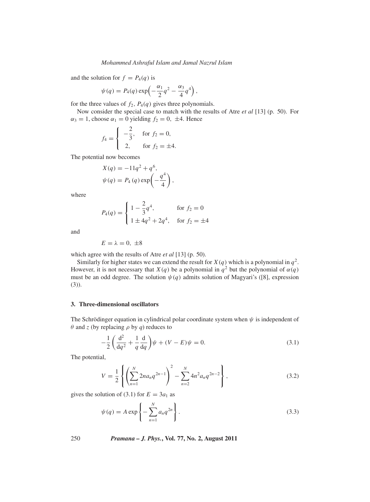and the solution for  $f = P_4(q)$  is

$$
\psi(q) = P_4(q) \exp\left(-\frac{\alpha_1}{2}q^2 - \frac{\alpha_3}{4}q^4\right),\,
$$

for the three values of  $f_2$ ,  $P_4(q)$  gives three polynomials.

Now consider the special case to match with the results of Atre *et al* [13] (p. 50). For  $\alpha_3 = 1$ , choose  $\alpha_1 = 0$  yielding  $f_2 = 0$ ,  $\pm 4$ . Hence

$$
f_4 = \begin{cases} -\frac{2}{3}, & \text{for } f_2 = 0, \\ 2, & \text{for } f_2 = \pm 4. \end{cases}
$$

The potential now becomes

$$
X(q) = -11q^{2} + q^{6},
$$
  

$$
\psi(q) = P_4(q) \exp\left(-\frac{q^4}{4}\right),
$$

where

$$
P_4(q) = \begin{cases} 1 - \frac{2}{3}q^4, & \text{for } f_2 = 0\\ 1 \pm 4q^2 + 2q^4, & \text{for } f_2 = \pm 4 \end{cases}
$$

and

$$
E=\lambda=0,~\pm 8
$$

which agree with the results of Atre *et al* [13] (p. 50).

Similarly for higher states we can extend the result for  $X(q)$  which is a polynomial in  $q^2$ . However, it is not necessary that *X*(*q*) be a polynomial in  $q^2$  but the polynomial of  $\alpha(q)$ must be an odd degree. The solution  $\psi(q)$  admits solution of Magyari's ([8], expression (3)).

#### **3. Three-dimensional oscillators**

The Schrödinger equation in cylindrical polar coordinate system when  $\psi$  is independent of  $θ$  and *z* (by replacing  $ρ$  by  $q$ ) reduces to

$$
-\frac{1}{2}\left(\frac{d^2}{dq^2} + \frac{1}{q}\frac{d}{dq}\right)\psi + (V - E)\psi = 0.
$$
\n(3.1)

The potential,

$$
V = \frac{1}{2} \left\{ \left( \sum_{n=1}^{N} 2n a_n q^{2n-1} \right)^2 - \sum_{n=2}^{N} 4n^2 a_n q^{2n-2} \right\},
$$
 (3.2)

gives the solution of (3.1) for  $E = 3a_1$  as

$$
\psi(q) = A \exp\left\{-\sum_{n=1}^{N} a_n q^{2n}\right\}.
$$
\n(3.3)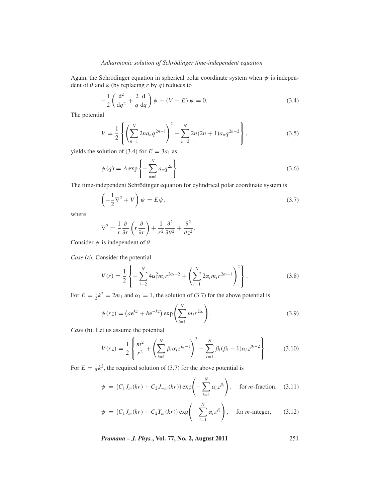Again, the Schrödinger equation in spherical polar coordinate system when  $\psi$  is independent of  $\theta$  and  $\varphi$  (by replacing *r* by *q*) reduces to

$$
-\frac{1}{2}\left(\frac{d^2}{dq^2} + \frac{2}{q}\frac{d}{dq}\right)\psi + (V - E)\psi = 0.
$$
 (3.4)

The potential

$$
V = \frac{1}{2} \left\{ \left( \sum_{n=1}^{N} 2n a_n q^{2n-1} \right)^2 - \sum_{n=2}^{N} 2n (2n+1) a_n q^{2n-2} \right\},
$$
 (3.5)

yields the solution of (3.4) for  $E = 3a_1$  as

$$
\psi(q) = A \exp\left\{-\sum_{n=1}^{N} a_n q^{2n}\right\}.
$$
\n(3.6)

The time-independent Schrödinger equation for cylindrical polar coordinate system is

$$
\left(-\frac{1}{2}\nabla^2 + V\right)\psi = E\psi,\tag{3.7}
$$

where

$$
\nabla^2 = \frac{1}{r} \frac{\partial}{\partial r} \left( r \frac{\partial}{\partial r} \right) + \frac{1}{r^2} \frac{\partial^2}{\partial \theta^2} + \frac{\partial^2}{\partial z^2}.
$$

Consider  $\psi$  is independent of  $\theta$ .

*Case* (a). Consider the potential

$$
V(r) = \frac{1}{2} \left\{ -\sum_{i=2}^{N} 4\alpha_i^2 m_i r^{2\alpha_i - 2} + \left( \sum_{i=1}^{N} 2\alpha_i m_i r^{2\alpha_i - 1} \right)^2 \right\}.
$$
 (3.8)

For  $E = \frac{1}{2}k^2 = 2m_1$  and  $\alpha_1 = 1$ , the solution of (3.7) for the above potential is

$$
\psi(rz) = \left(ae^{kz} + be^{-kz}\right) \exp\left(\sum_{i=1}^{N} m_i r^{2\alpha_i}\right). \tag{3.9}
$$

*Case* (b). Let us assume the potential

$$
V(rz) = \frac{1}{2} \left\{ \frac{m^2}{r^2} + \left( \sum_{i=1}^N \beta_i \alpha_i z^{\beta_i - 1} \right)^2 - \sum_{i=1}^N \beta_i (\beta_i - 1) \alpha_i z^{\beta_i - 2} \right\}.
$$
 (3.10)

For  $E = \frac{1}{2}k^2$ , the required solution of (3.7) for the above potential is

$$
\psi = \{C_1 J_m(kr) + C_2 J_{-m}(kr)\} \exp\left(-\sum_{i=1}^N \alpha_i z^{\beta_i}\right), \quad \text{for } m \text{-fraction,} \quad (3.11)
$$

$$
\psi = \{C_1 J_m(kr) + C_2 Y_m(kr)\} \exp\left(-\sum_{i=1}^N \alpha_i z^{\beta_i}\right), \quad \text{for } m \text{-integer}, \qquad (3.12)
$$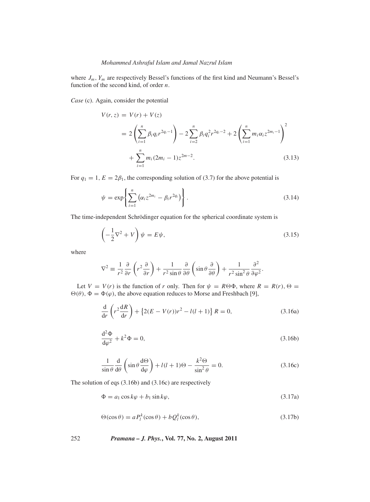where  $J_m$ ,  $Y_m$  are respectively Bessel's functions of the first kind and Neumann's Bessel's function of the second kind, of order *n*.

*Case* (c). Again, consider the potential

$$
V(r, z) = V(r) + V(z)
$$
  
=  $2\left(\sum_{i=1}^{n} \beta_i q_i r^{2q_i - 1}\right) - 2\sum_{i=2}^{n} \beta_i q_i^2 r^{2q_i - 2} + 2\left(\sum_{i=1}^{n} m_i \alpha_i z^{2m_i - 1}\right)^2$   
+  $\sum_{i=1}^{n} m_i (2m_i - 1) z^{2m - 2}.$  (3.13)

For  $q_1 = 1$ ,  $E = 2\beta_1$ , the corresponding solution of (3.7) for the above potential is

$$
\psi = \exp\left\{\sum_{i=1}^{n} \left(\alpha_i z^{2m_i} - \beta_i r^{2q_i}\right)\right\}.
$$
\n(3.14)

The time-independent Schrödinger equation for the spherical coordinate system is

$$
\left(-\frac{1}{2}\nabla^2 + V\right)\psi = E\psi,\tag{3.15}
$$

where

$$
\nabla^2 \equiv \frac{1}{r^2} \frac{\partial}{\partial r} \left( r^2 \frac{\partial}{\partial r} \right) + \frac{1}{r^2 \sin \theta} \frac{\partial}{\partial \theta} \left( \sin \theta \frac{\partial}{\partial \theta} \right) + \frac{1}{r^2 \sin^2 \theta} \frac{\partial^2}{\partial \varphi^2}.
$$

Let  $V = V(r)$  is the function of *r* only. Then for  $\psi = R \Theta \Phi$ , where  $R = R(r)$ ,  $\Theta =$  $\Theta(\theta)$ ,  $\Phi = \Phi(\varphi)$ , the above equation reduces to Morse and Freshbach [9],

$$
\frac{\mathrm{d}}{\mathrm{d}r}\left(r^2\frac{\mathrm{d}R}{\mathrm{d}r}\right) + \left\{2(E - V(r))r^2 - l(l+1)\right\}R = 0,\tag{3.16a}
$$

$$
\frac{\mathrm{d}^2 \Phi}{\mathrm{d}\varphi^2} + k^2 \Phi = 0,\tag{3.16b}
$$

$$
\frac{1}{\sin \theta} \frac{d}{d\theta} \left( \sin \theta \frac{d\Theta}{d\varphi} \right) + l(l+1)\Theta - \frac{k^2 \Theta}{\sin^2 \theta} = 0.
$$
 (3.16c)

The solution of eqs (3.16b) and (3.16c) are respectively

$$
\Phi = a_1 \cos k\varphi + b_1 \sin k\varphi, \tag{3.17a}
$$

$$
\Theta(\cos \theta) = a P_l^k(\cos \theta) + b Q_l^k(\cos \theta), \qquad (3.17b)
$$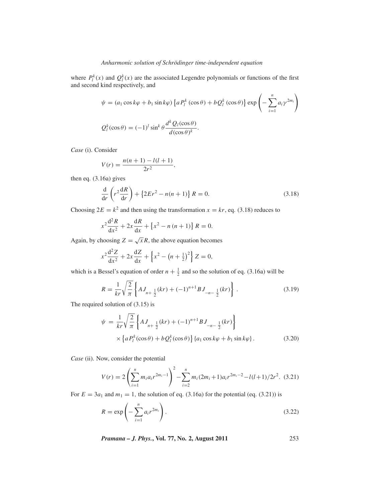where  $P_l^k(x)$  and  $Q_l^k(x)$  are the associated Legendre polynomials or functions of the first and second kind respectively, and

$$
\psi = (a_1 \cos k\varphi + b_1 \sin k\varphi) \left\{ a P_l^k (\cos \theta) + b Q_l^k (\cos \theta) \right\} \exp \left( - \sum_{i=1}^n a_i \gamma^{2m_i} \right)
$$
  

$$
Q_l^k (\cos \theta) = (-1)^l \sin^k \theta \frac{d^k Q_l(\cos \theta)}{d(\cos \theta)^k}.
$$

*Case* (i). Consider

$$
V(r) = \frac{n(n+1) - l(l+1)}{2r^2},
$$

then eq. (3.16a) gives

$$
\frac{\mathrm{d}}{\mathrm{d}r}\left(r^2\frac{\mathrm{d}R}{\mathrm{d}r}\right) + \left\{2Er^2 - n(n+1)\right\}R = 0.
$$
\n(3.18)

Choosing  $2E = k^2$  and then using the transformation  $x = kr$ , eq. (3.18) reduces to

$$
x^{2} \frac{d^{2} R}{dx^{2}} + 2x \frac{dR}{dx} + \left\{ x^{2} - n (n+1) \right\} R = 0.
$$

Again, by choosing  $Z = \sqrt{x}R$ , the above equation becomes

$$
x^{2} \frac{d^{2} Z}{dx^{2}} + 2x \frac{dZ}{dx} + \left\{ x^{2} - \left(n + \frac{1}{2}\right)^{2} \right\} Z = 0,
$$

which is a Bessel's equation of order  $n + \frac{1}{2}$  and so the solution of eq. (3.16a) will be

$$
R = \frac{1}{kr} \sqrt{\frac{2}{\pi}} \left\{ A J_{n + \frac{1}{2}}(kr) + (-1)^{n+1} B J_{-n - \frac{1}{2}}(kr) \right\}.
$$
 (3.19)

The required solution of (3.15) is

$$
\psi = \frac{1}{kr} \sqrt{\frac{2}{\pi}} \left\{ A J_{n+\frac{1}{2}}(kr) + (-1)^{n+1} B J_{-n-\frac{1}{2}}(kr) \right\}
$$
  
 
$$
\times \left\{ a P_l^k(\cos \theta) + b Q_l^k(\cos \theta) \right\} \{ a_1 \cos k\varphi + b_1 \sin k\varphi \}.
$$
 (3.20)

*Case* (ii). Now, consider the potential

$$
V(r) = 2\left(\sum_{i=1}^{n} m_i a_i r^{2m_i - 1}\right)^2 - \sum_{i=2}^{n} m_i (2m_i + 1) a_i r^{2m_i - 2} - l(l+1)/2r^2.
$$
 (3.21)

For  $E = 3a_1$  and  $m_1 = 1$ , the solution of eq. (3.16a) for the potential (eq. (3.21)) is

$$
R = \exp\left(-\sum_{i=1}^{n} a_i r^{2m_i}\right).
$$
\n(3.22)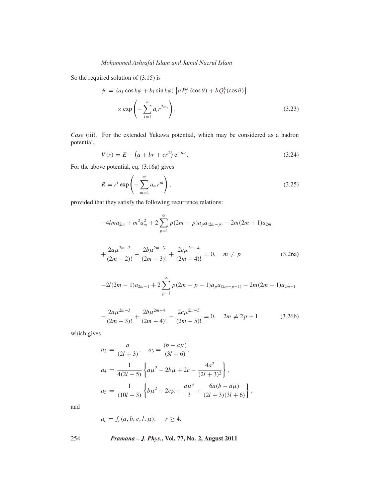So the required solution of (3.15) is

$$
\psi = (a_1 \cos k\varphi + b_1 \sin k\varphi) \{ a P_l^k (\cos \theta) + b Q_l^k (\cos \theta) \}
$$
  
 
$$
\times \exp \left(-\sum_{i=1}^n a_i r^{2m_i}\right).
$$
 (3.23)

*Case* (iii). For the extended Yukawa potential, which may be considered as a hadron potential,

$$
V(r) = E - (a + br + cr^2) e^{-\mu r}.
$$
 (3.24)

For the above potential, eq. (3.16a) gives

$$
R = rl \exp\left(-\sum_{m=1}^{\infty} a_m r^m\right),
$$
\n(3.25)

provided that they satisfy the following recurrence relations:

$$
-4Ima_{2m} + m^2a_m^2 + 2\sum_{p=1}^{\infty} p(2m-p)a_p a_{(2m-p)} - 2m(2m+1)a_{2m}
$$

$$
+\frac{2a\mu^{2m-2}}{(2m-2)!} - \frac{2b\mu^{2m-3}}{(2m-3)!} + \frac{2c\mu^{2m-4}}{(2m-4)!} = 0, \quad m \neq p
$$
 (3.26a)

$$
-2l(2m-1)a_{2m-1} + 2\sum_{p=1}^{\infty} p(2m-p-1)a_p a_{(2m-p-1)} - 2m(2m-1)a_{2m-1}
$$

$$
-\frac{2a\mu^{2m-3}}{(2m-3)!} + \frac{2b\mu^{2m-4}}{(2m-4)!} - \frac{2c\mu^{2m-5}}{(2m-5)!} = 0, \quad 2m \neq 2p+1
$$
 (3.26b)

which gives

$$
a_2 = \frac{a}{(2l+3)}, \quad a_3 = \frac{(b-a\mu)}{(3l+6)},
$$
  
\n
$$
a_4 = \frac{1}{4(2l+5)} \left\{ a\mu^2 - 2b\mu + 2c - \frac{4a^2}{(2l+3)^2} \right\},
$$
  
\n
$$
a_5 = \frac{1}{(10l+3)} \left\{ b\mu^2 - 2c\mu - \frac{a\mu^3}{3} + \frac{6a(b-a\mu)}{(2l+3)(3l+6)} \right\},
$$

and

$$
a_r = f_r(a, b, c, l, \mu), \quad r \ge 4.
$$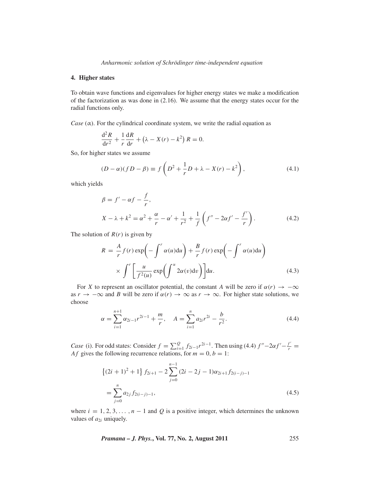#### **4. Higher states**

To obtain wave functions and eigenvalues for higher energy states we make a modification of the factorization as was done in (2.16). We assume that the energy states occur for the radial functions only.

*Case* ( $\alpha$ ). For the cylindrical coordinate system, we write the radial equation as

$$
\frac{\mathrm{d}^2 R}{\mathrm{d}r^2} + \frac{1}{r} \frac{\mathrm{d}R}{\mathrm{d}r} + \left(\lambda - X(r) - k^2\right) R = 0.
$$

So, for higher states we assume

$$
(D - \alpha)(fD - \beta) \equiv f\left(D^2 + \frac{1}{r}D + \lambda - X(r) - k^2\right),\tag{4.1}
$$

which yields

$$
\beta = f' - \alpha f - \frac{f}{r},
$$
  
\n
$$
X - \lambda + k^2 = \alpha^2 + \frac{\alpha}{r} - \alpha' + \frac{1}{r^2} + \frac{1}{f} \left( f'' - 2\alpha f' - \frac{f'}{r} \right).
$$
\n(4.2)

The solution of  $R(r)$  is given by

$$
R = \frac{A}{r} f(r) \exp\left(-\int^r \alpha(u) \mathrm{d}u\right) + \frac{B}{r} f(r) \exp\left(-\int^r \alpha(u) \mathrm{d}u\right)
$$

$$
\times \int^r \left[\frac{u}{f^2(u)} \exp\left(\int^u 2\alpha(v) \mathrm{d}v\right)\right] \mathrm{d}u. \tag{4.3}
$$

For *X* to represent an oscillator potential, the constant *A* will be zero if  $\alpha(r) \rightarrow -\infty$ as  $r \to -\infty$  and *B* will be zero if  $\alpha(r) \to \infty$  as  $r \to \infty$ . For higher state solutions, we choose

$$
\alpha = \sum_{i=1}^{n+1} \alpha_{2i-1} r^{2i-1} + \frac{m}{r}, \quad A = \sum_{i=1}^{n} \alpha_{2i} r^{2i} - \frac{b}{r^2}.
$$
 (4.4)

*Case* (i). For odd states: Consider  $f = \sum_{i=1}^{Q} f_{2i-1} r^{2i-1}$ . Then using (4.4)  $f'' - 2\alpha f' - \frac{f'}{r} =$ *Af* gives the following recurrence relations, for  $m = 0, b = 1$ :

$$
\{(2i+1)^2+1\} f_{2i+1} - 2 \sum_{j=0}^{n-1} (2i-2j-1)\alpha_{2i+1} f_{2(i-j)-1}
$$
  
= 
$$
\sum_{j=0}^{n} a_{2j} f_{2(i-j)-1},
$$
 (4.5)

where  $i = 1, 2, 3, \ldots, n - 1$  and Q is a positive integer, which determines the unknown values of  $a_{2i}$  uniquely.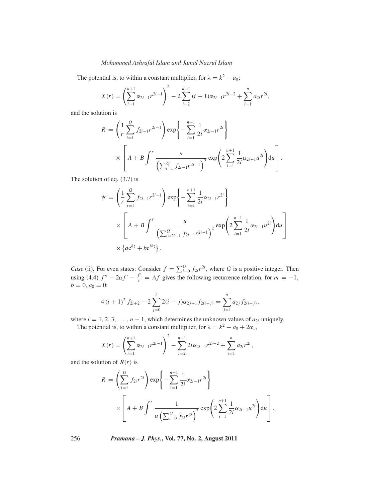The potential is, to within a constant multiplier, for  $\lambda = k^2 - a_0$ ;

$$
X(r) = \left(\sum_{i=1}^{n+1} \alpha_{2i-1} r^{2i-1}\right)^2 - 2\sum_{i=2}^{n+1} (i-1)\alpha_{2i-1} r^{2i-2} + \sum_{i=1}^{n} \alpha_{2i} r^{2i},
$$

and the solution is

$$
R = \left(\frac{1}{r}\sum_{i=1}^{Q} f_{2i-1}r^{2i-1}\right) \exp\left\{-\sum_{i=1}^{n+1} \frac{1}{2i}\alpha_{2i-1}r^{2i}\right\}
$$

$$
\times \left[A + B \int^{r} \frac{u}{\left(\sum_{i=1}^{Q} f_{2i-1}r^{2i-1}\right)^{2}} \exp\left(2\sum_{i=1}^{n+1} \frac{1}{2i}\alpha_{2i-1}u^{2i}\right) du\right].
$$

The solution of eq. (3.7) is

$$
\psi = \left(\frac{1}{r}\sum_{i=1}^{Q} f_{2i-1}r^{2i-1}\right) \exp\left\{-\sum_{i=1}^{n+1} \frac{1}{2i}\alpha_{2i-1}r^{2i}\right\}
$$

$$
\times \left[A + B \int^{r} \frac{u}{\left(\sum_{i=2i-1}^{Q} f_{2i-1}r^{2i-1}\right)^{2}} \exp\left(2\sum_{i=1}^{n+1} \frac{1}{2i}\alpha_{2i-1}u^{2i}\right) du\right]
$$

$$
\times \left\{ae^{kz} + be^{ikz}\right\}.
$$

*Case* (ii). For even states: Consider  $f = \sum_{i=0}^{G} f_{2i} r^{2i}$ , where *G* is a positive integer. Then using (4.4)  $f'' - 2\alpha f' - \frac{f'}{r} = Af$  gives the following recurrence relation, for  $m = -1$ ,  $b = 0, a_0 = 0$ :

$$
4 (i + 1)^2 f_{2i+2} - 2 \sum_{j=0}^{i} 2(i - j) \alpha_{2j+1} f_{2(i-j)} = \sum_{j=1}^{n} a_{2j} f_{2(i-j)},
$$

where  $i = 1, 2, 3, \ldots, n - 1$ , which determines the unknown values of  $a_{2i}$  uniquely.

The potential is, to within a constant multiplier, for  $\lambda = k^2 - a_0 + 2\alpha_1$ ,

$$
X(r) = \left(\sum_{i=1}^{n+1} \alpha_{2i-1} r^{2i-1}\right)^2 - \sum_{i=2}^{n+1} 2i \alpha_{2i-1} r^{2i-2} + \sum_{i=1}^{n} \alpha_{2i} r^{2i},
$$

and the solution of  $R(r)$  is

$$
R = \left(\sum_{i=1}^{G} f_{2i} r^{2i}\right) \exp\left\{-\sum_{i=1}^{n+1} \frac{1}{2i} \alpha_{2i-1} r^{2i}\right\}
$$

$$
\times \left[A + B \int^{r} \frac{1}{u \left(\sum_{i=0}^{G} f_{2i} r^{2i}\right)^{2}} \exp\left(2 \sum_{i=1}^{n+1} \frac{1}{2i} \alpha_{2i-1} u^{2i}\right) du\right].
$$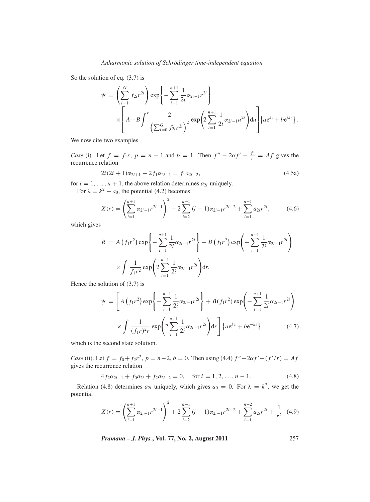So the solution of eq. (3.7) is

$$
\psi = \left(\sum_{i=1}^{G} f_{2i} r^{2i}\right) \exp\left\{-\sum_{i=1}^{n+1} \frac{1}{2i} \alpha_{2i-1} r^{2i}\right\}
$$

$$
\times \left[A + B \int^{r} \frac{2}{\left(\sum_{i=0}^{G} f_{2i} r^{2i}\right)^{2}} \exp\left(2\sum_{i=1}^{n+1} \frac{1}{2i} \alpha_{2i-1} u^{2i}\right) du\right] \{ae^{kz} + be^{ikz}\}.
$$

We now cite two examples.

*Case* (i). Let  $f = f_1r$ ,  $p = n - 1$  and  $b = 1$ . Then  $f'' - 2af' - \frac{f'}{r} = Af$  gives the recurrence relation

$$
2i(2i + 1)\alpha_{2i+1} - 2f_1\alpha_{2i-1} = f_1 a_{2i-2},
$$
\n(4.5a)

for  $i = 1, ..., n + 1$ , the above relation determines  $a_{2i}$  uniquely.

For  $\lambda = k^2 - a_0$ , the potential (4.2) becomes

$$
X(r) = \left(\sum_{i=1}^{n+1} \alpha_{2i-1} r^{2i-1}\right)^2 - 2\sum_{i=2}^{n+1} (i-1)\alpha_{2i-1} r^{2i-2} + \sum_{i=1}^{n-1} a_{2i} r^{2i},\tag{4.6}
$$

which gives

$$
R = A(f_1r^2) \exp\left\{-\sum_{i=1}^{n+1} \frac{1}{2i} \alpha_{2i-1} r^{2i}\right\} + B(f_1r^2) \exp\left(-\sum_{i=1}^{n+1} \frac{1}{2i} \alpha_{2i-1} r^{2i}\right)
$$
  
 
$$
\times \int \frac{1}{f_1r^2} \exp\left(2\sum_{i=1}^{n+1} \frac{1}{2i} \alpha_{2i-1} r^{2i}\right) dr.
$$

Hence the solution of  $(3.7)$  is

$$
\psi = \left[ A \left( f_1 r^2 \right) \exp \left\{ - \sum_{i=1}^{n+1} \frac{1}{2i} \alpha_{2i-1} r^{2i} \right\} + B \left( f_1 r^2 \right) \exp \left( - \sum_{i=1}^{n+1} \frac{1}{2i} \alpha_{2i-1} r^{2i} \right) \times \int \frac{1}{\left( f_1 r \right)^2 r} \exp \left( 2 \sum_{i=1}^{n+1} \frac{1}{2i} \alpha_{2i-1} r^{2i} \right) dr \right] \left\{ a e^{kz} + b e^{-kz} \right\} \tag{4.7}
$$

which is the second state solution.

*Case* (ii). Let  $f = f_0 + f_2 r^2$ ,  $p = n - 2$ ,  $b = 0$ . Then using (4.4)  $f'' - 2\alpha f' - (f'/r) = Af$ gives the recurrence relation

$$
4f_2\alpha_{2i-1} + f_0 a_{2i} + f_2 a_{2i-2} = 0, \quad \text{for } i = 1, 2, \dots, n-1.
$$
 (4.8)

Relation (4.8) determines  $a_{2i}$  uniquely, which gives  $a_0 = 0$ . For  $\lambda = k^2$ , we get the potential

$$
X(r) = \left(\sum_{i=1}^{n+1} \alpha_{2i-1} r^{2i-1}\right)^2 + 2\sum_{i=2}^{n+1} (i-1)\alpha_{2i-1} r^{2i-2} + \sum_{i=1}^{n-2} a_{2i} r^{2i} + \frac{1}{r^2} (4.9)
$$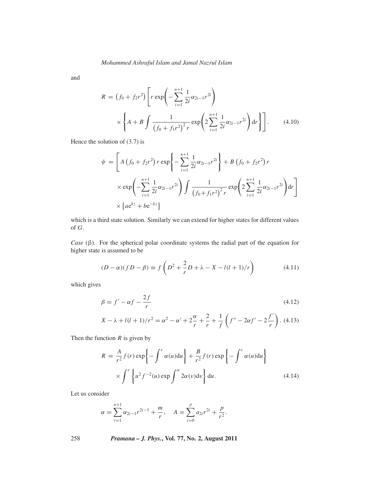and

$$
R = (f_0 + f_2 r^2) \left[ r \exp\left( -\sum_{i=1}^{n+1} \frac{1}{2i} \alpha_{2i-1} r^{2i} \right) \times \left\{ A + B \int \frac{1}{(f_0 + f_1 r^2)^2 r} \exp\left( 2 \sum_{i=1}^{n+1} \frac{1}{2i} \alpha_{2i-1} r^{2i} \right) dr \right\} \right].
$$
 (4.10)

Hence the solution of (3.7) is

$$
\psi = \left[ A \left( f_0 + f_2 r^2 \right) r \exp \left\{ - \sum_{i=1}^{n+1} \frac{1}{2i} \alpha_{2i-1} r^{2i} \right\} + B \left( f_0 + f_2 r^2 \right) r \right. \\
\times \exp \left( - \sum_{i=1}^{n+1} \frac{1}{2i} \alpha_{2i-1} r^{2i} \right) \int \frac{1}{\left( f_0 + f_1 r^2 \right)^2 r} \exp \left( 2 \sum_{i=1}^{n+1} \frac{1}{2i} \alpha_{2i-1} r^{2i} \right) dr \right] \\
\times \left\{ a e^{kz} + b e^{-kz} \right\}
$$

which is a third state solution. Similarly we can extend for higher states for different values of *G*.

*Case* (β). For the spherical polar coordinate systems the radial part of the equation for higher state is assumed to be

$$
(D - \alpha)(fD - \beta) \equiv f\left(D^2 + \frac{2}{r}D + \lambda - X - l(l+1)/r\right)
$$
 (4.11)

which gives

$$
\beta = f' - \alpha f - \frac{2f}{r}
$$
\n
$$
(4.12)
$$
\n
$$
X - \lambda + l(l+1)/r^2 = \alpha^2 - \alpha' + 2\frac{\alpha}{r} + \frac{2}{r} + \frac{1}{f}\left(f'' - 2\alpha f' - 2\frac{f'}{r}\right). \tag{4.13}
$$

Then the function  $R$  is given by

$$
R = \frac{A}{r^2} f(r) \exp\left\{-\int^r \alpha(u) \mathrm{d}u\right\} + \frac{B}{r^2} f(r) \exp\left\{-\int^r \alpha(u) \mathrm{d}u\right\}
$$

$$
\times \int^r \left\{u^2 f^{-2}(u) \exp\int^u 2\alpha(v) \mathrm{d}v\right\} \mathrm{d}u. \tag{4.14}
$$

Let us consider

$$
\alpha = \sum_{i=1}^{n+1} \alpha_{2i-1} r^{2i-1} + \frac{m}{r}, \quad A = \sum_{i=0}^{p} a_{2i} r^{2i} + \frac{p}{r^2}.
$$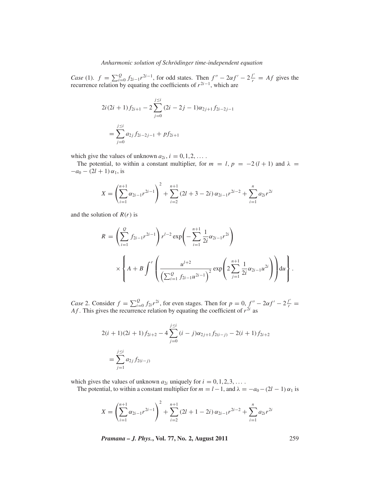*Case* (1).  $f = \sum_{i=0}^{Q} f_{2i-1} r^{2i-1}$ , for odd states. Then  $f'' - 2\alpha f' - 2\frac{f'}{r} = Af$  gives the recurrence relation by equating the coefficients of  $r^{2i-1}$ , which are

$$
2i(2i + 1) f_{2i+1} - 2 \sum_{j=0}^{j \le i} (2i - 2j - 1) \alpha_{2j+1} f_{2i-2j-1}
$$
  
= 
$$
\sum_{j=0}^{j \le i} a_{2j} f_{2i-2j-1} + p f_{2i+1}
$$

which give the values of unknown  $a_{2i}$ ,  $i = 0, 1, 2, \ldots$ .

The potential, to within a constant multiplier, for  $m = l$ ,  $p = -2(l + 1)$  and  $\lambda =$  $-a_0 - (2l + 1) \alpha_1$ , is

$$
X = \left(\sum_{i=1}^{n+1} \alpha_{2i-1} r^{2i-1}\right)^2 + \sum_{i=2}^{n+1} (2l+3-2i) \alpha_{2i-1} r^{2i-2} + \sum_{i=1}^{n} \alpha_{2i} r^{2i}
$$

and the solution of  $R(r)$  is

$$
R = \left(\sum_{i=1}^{Q} f_{2i-1} r^{2i-1}\right) r^{l-2} \exp\left(-\sum_{i=1}^{n+1} \frac{1}{2i} \alpha_{2i-1} r^{2i}\right)
$$

$$
\times \left\{ A + B \int^r \left(\frac{u^{l+2}}{\left(\sum_{i=1}^{Q} f_{2i-1} u^{2i-1}\right)^2} \exp\left(2\sum_{j=1}^{n+1} \frac{1}{2i} \alpha_{2i-1} u^{2i}\right)\right) du \right\}.
$$

*Case* 2. Consider  $f = \sum_{i=0}^{Q} f_{2i} r^{2i}$ , for even stages. Then for  $p = 0$ ,  $f'' - 2\alpha f' - 2\frac{f'}{r} =$ *Af*. This gives the recurrence relation by equating the coefficient of  $r^{2i}$  as

$$
2(i + 1)(2i + 1) f_{2i+2} - 4 \sum_{j=0}^{j \le i} (i - j) \alpha_{2j+1} f_{2(i-j)} - 2(i + 1) f_{2i+2}
$$
  
= 
$$
\sum_{j=1}^{j \le i} a_{2j} f_{2(i-j)}
$$

which gives the values of unknown  $a_{2i}$  uniquely for  $i = 0, 1, 2, 3, \ldots$ .

The potential, to within a constant multiplier for  $m = l - 1$ , and  $\lambda = -a_0 - (2l - 1) \alpha_1$  is

$$
X = \left(\sum_{i=1}^{n+1} \alpha_{2i-1} r^{2i-1}\right)^2 + \sum_{i=2}^{n+1} (2l+1-2i) \alpha_{2i-1} r^{2i-2} + \sum_{i=1}^{n} \alpha_{2i} r^{2i}
$$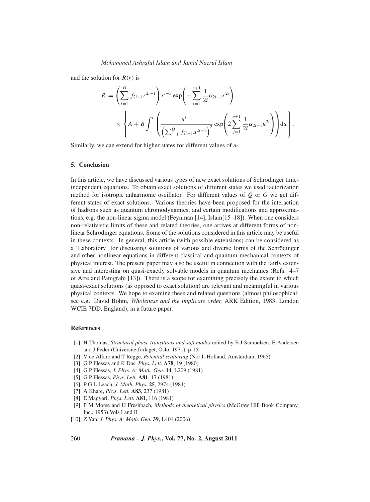and the solution for *R*(*r*) is

$$
R = \left(\sum_{i=1}^{Q} f_{2i-1} r^{2i-1}\right) r^{l-3} \exp\left(-\sum_{i=1}^{n+1} \frac{1}{2i} \alpha_{2i-1} r^{2i}\right)
$$
  
 
$$
\times \left\{ A + B \int^{r} \left(\frac{u^{l+1}}{\left(\sum_{i=1}^{Q} f_{2i-1} u^{2i-1}\right)^2} \exp\left(2\sum_{j=1}^{n+1} \frac{1}{2i} \alpha_{2i-1} u^{2i}\right)\right) du \right\}.
$$

Similarly, we can extend for higher states for different values of *m*.

#### **5. Conclusion**

In this article, we have discussed various types of new exact solutions of Schrödinger timeindependent equations. To obtain exact solutions of different states we used factorization method for isotropic anharmonic oscillator. For different values of *Q* or *G* we get different states of exact solutions. Various theories have been proposed for the interaction of hadrons such as quantum chromodynamics, and certain modifications and approximations, e.g. the non-linear sigma model (Feynman [14], Islam[15–18]). When one considers non-relativistic limits of these and related theories, one arrives at different forms of nonlinear Schrödinger equations. Some of the solutions considered in this article may be useful in these contexts. In general, this article (with possible extensions) can be considered as a 'Laboratory' for discussing solutions of various and diverse forms of the Schrödinger and other nonlinear equations in different classical and quantum mechanical contexts of physical interest. The present paper may also be useful in connection with the fairly extensive and interesting on quasi-exactly solvable models in quantum mechanics (Refs. 4–7 of Atre and Panigrahi [13]). There is a scope for examining precisely the extent to which quasi-exact solutions (as opposed to exact solution) are relevant and meaningful in various physical contexts. We hope to examine these and related questions (almost philosophical: see e.g. David Bohm, *Wholeness and the implicate order,* ARK Edition, 1983, London WCIE 7DD, England), in a future paper.

#### **References**

- [1] H Thomas, *Structural phase transitions and soft modes* edited by E J Samuelsen, E Andersen and J Feder (Universitetforlaget, Oslo, 1971), p-15.
- [2] V de Alfaro and T Regge, *Potential scattering* (North-Holland, Amsterdam, 1965)
- [3] G P Flessas and K Das, *Phys. Lett*. **A78**, 19 (1980)
- [4] G P Flessas, *J. Phys. A: Math. Gen.* **14**, L209 (1981)
- [5] G P Flessas, *Phys. Lett.* **A81**, 17 (1981)
- [6] P G L Leach, *J. Math. Phys.* **25**, 2974 (1984)
- [7] A Khare, *Phys. Lett.* **A83**, 237 (1981)
- [8] E Magyari, *Phys. Lett.* **A81**, 116 (1981)
- [9] P M Morse and H Freshbach, *Methods of theoretical physics* (McGraw Hill Book Company, Inc., 1953) Vols I and II
- [10] Z Yan, *J. Phys. A: Math. Gen.* **39**, L401 (2006)